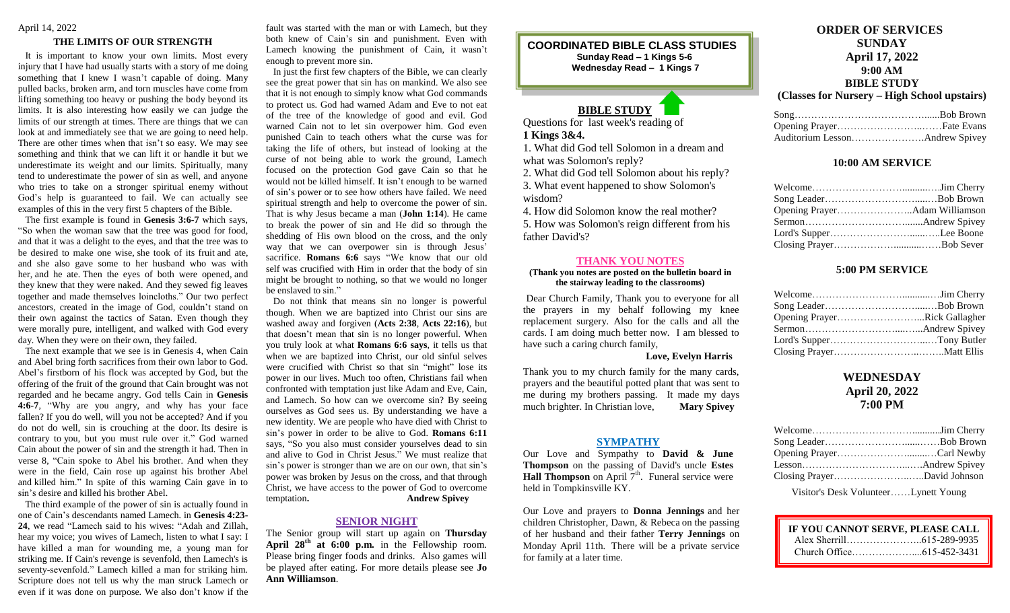# April 14, 2022

#### **THE LIMITS OF OUR STRENGTH**

 It is important to know your own limits. Most every injury that I have had usually starts with a story of me doing something that I knew I wasn't capable of doing. Many pulled backs, broken arm, and torn muscles have come from lifting something too heavy or pushing the body beyond its limits. It is also interesting how easily we can judge the limits of our strength at times. There are things that we can look at and immediately see that we are going to need help. There are other times when that isn't so easy. We may see something and think that we can lift it or handle it but we underestimate its weight and our limits. Spiritually, many tend to underestimate the power of sin as well, and anyone who tries to take on a stronger spiritual enemy without God's help is guaranteed to fail. We can actually see examples of this in the very first 5 chapters of the Bible.

 The first example is found in **Genesis 3:6-7** which says, "So when the woman saw that the tree was good for food, and that it was a delight to the eyes, and that the tree was to be desired to make one wise, she took of its fruit and ate, and she also gave some to her husband who was with her, and he ate. Then the eyes of both were opened, and they knew that they were naked. And they sewed fig leaves together and made themselves loincloths." Our two perfect ancestors, created in the image of God, couldn't stand on their own against the tactics of Satan. Even though they were morally pure, intelligent, and walked with God every day. When they were on their own, they failed.

 The next example that we see is in Genesis 4, when Cain and Abel bring forth sacrifices from their own labor to God. Abel's firstborn of his flock was accepted by God, but the offering of the fruit of the ground that Cain brought was not regarded and he became angry. God tells Cain in **Genesis 4:6-7**, "Why are you angry, and why has your face fallen? If you do well, will you not be accepted? And if you do not do well, sin is crouching at the door. Its desire is contrary to you, but you must rule over it." God warned Cain about the power of sin and the strength it had. Then in verse 8, "Cain spoke to Abel his brother. And when they were in the field, Cain rose up against his brother Abel and killed him." In spite of this warning Cain gave in to sin's desire and killed his brother Abel.

 The third example of the power of sin is actually found in one of Cain's descendants named Lamech. in **Genesis 4:23- 24**, we read "Lamech said to his wives: "Adah and Zillah, hear my voice; you wives of Lamech, listen to what I say: I have killed a man for wounding me, a young man for striking me. If Cain's revenge is sevenfold, then Lamech's is seventy-sevenfold." Lamech killed a man for striking him. Scripture does not tell us why the man struck Lamech or even if it was done on purpose. We also don't know if the fault was started with the man or with Lamech, but they both knew of Cain's sin and punishment. Even with Lamech knowing the punishment of Cain, it wasn't enough to prevent more sin.

 In just the first few chapters of the Bible, we can clearly see the great power that sin has on mankind. We also see that it is not enough to simply know what God commands to protect us. God had warned Adam and Eve to not eat of the tree of the knowledge of good and evil. God warned Cain not to let sin overpower him. God even punished Cain to teach others what the curse was for taking the life of others, but instead of looking at the curse of not being able to work the ground, Lamech focused on the protection God gave Cain so that he would not be killed himself. It isn't enough to be warned of sin's power or to see how others have failed. We need spiritual strength and help to overcome the power of sin. That is why Jesus became a man (**John 1:14**). He came to break the power of sin and He did so through the shedding of His own blood on the cross, and the only way that we can overpower sin is through Jesus' sacrifice. **Romans** 6:6 says "We know that our old self was crucified with Him in order that the body of sin might be brought to nothing, so that we would no longer be enslaved to sin."

 Do not think that means sin no longer is powerful though. When we are baptized into Christ our sins are washed away and forgiven (**Acts 2:38**, **Acts 22:16**), but that doesn't mean that sin is no longer powerful. When you truly look at what **Romans 6:6 says**, it tells us that when we are baptized into Christ, our old sinful selves were crucified with Christ so that sin "might" lose its power in our lives. Much too often, Christians fail when confronted with temptation just like Adam and Eve, Cain, and Lamech. So how can we overcome sin? By seeing ourselves as God sees us. By understanding we have a new identity. We are people who have died with Christ to sin's power in order to be alive to God. **Romans 6:11** says, "So you also must consider yourselves dead to sin and alive to God in Christ Jesus." We must realize that sin's power is stronger than we are on our own, that sin's power was broken by Jesus on the cross, and that through Christ, we have access to the power of God to overcome temptation**. Andrew Spivey**

### **SENIOR NIGHT**

The Senior group will start up again on **Thursday April 28th at 6:00 p.m.** in the Fellowship room. Please bring finger foods and drinks. Also games will be played after eating. For more details please see **Jo Ann Williamson**.

### **COORDINATED BIBLE CLASS STUDIES Sunday Read – 1 Kings 5-6 Wednesday Read – 1 Kings 7**

# **BIBLE STUDY**

Questions for last week's reading of **1 Kings 3&4.**

 $\overline{a}$ 

1. What did God tell Solomon in a dream and what was Solomon's reply?

2. What did God tell Solomon about his reply?

3. What event happened to show Solomon's wisdom?

4. How did Solomon know the real mother? 5. How was Solomon's reign different from his father David's?

#### **THANK YOU NOTES**

#### **(Thank you notes are posted on the bulletin board in the stairway leading to the classrooms)**

Dear Church Family, Thank you to everyone for all the prayers in my behalf following my knee replacement surgery. Also for the calls and all the cards. I am doing much better now. I am blessed to have such a caring church family,

**Love, Evelyn Harris**

Thank you to my church family for the many cards, prayers and the beautiful potted plant that was sent to me during my brothers passing. It made my days much brighter. In Christian love, **Mary Spivey**

#### **SYMPATHY**

Our Love and Sympathy to **David & June Thompson** on the passing of David's uncle **Estes Hall Thompson** on April  $7<sup>th</sup>$ . Funeral service were held in Tompkinsville KY.

Our Love and prayers to **Donna Jennings** and her children Christopher, Dawn, & Rebeca on the passing of her husband and their father **Terry Jennings** on Monday April 11th. There will be a private service for family at a later time.

# **ORDER OF SERVICES SUNDAY April 17, 2022 9:00 AM BIBLE STUDY**

**(Classes for Nursery – High School upstairs)**

# **10:00 AM SERVICE**

# **5:00 PM SERVICE**

| Opening PrayerRick Gallagher |  |
|------------------------------|--|
|                              |  |
|                              |  |
|                              |  |

# **WEDNESDAY April 20, 2022 7:00 PM**

Visitor's Desk Volunteer……Lynett Young

| IF YOU CANNOT SERVE, PLEASE CALL |  |
|----------------------------------|--|
|                                  |  |
|                                  |  |

 $\overline{a}$